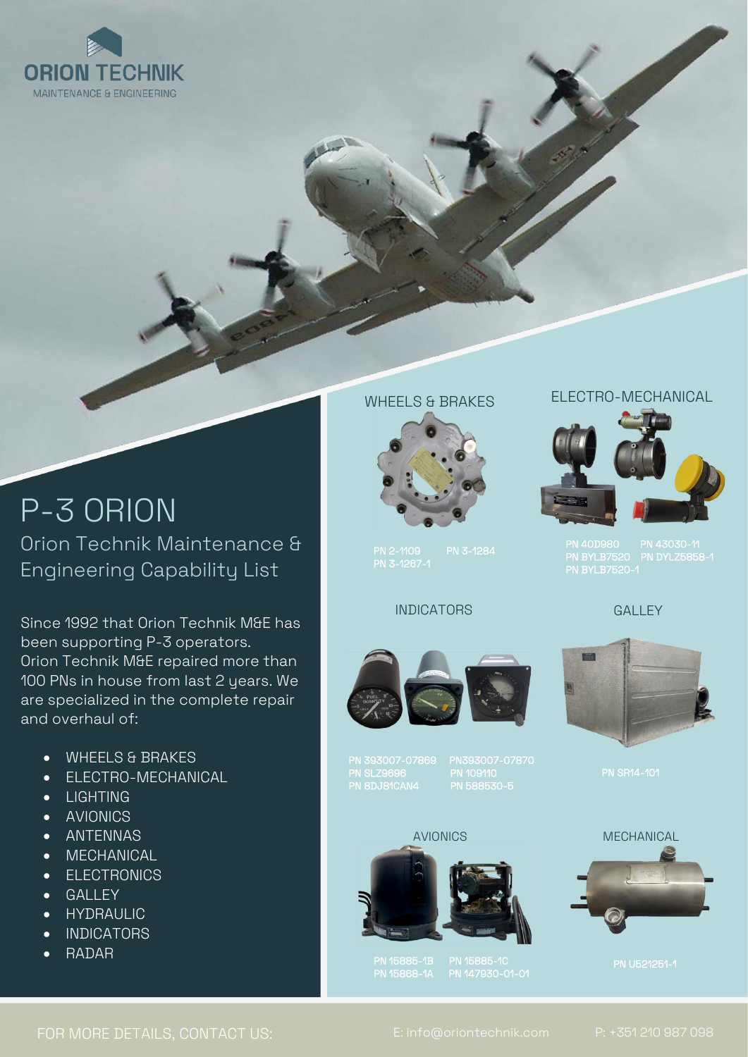

# P-3 ORION Orion Technik Maintenance & Engineering Capability List

Since 1992 that Orion Technik M&E has been supporting P-3 operators. Orion Technik M&E repaired more than 100 PNs in house from last 2 years. We are specialized in the complete repair and overhaul of:

- WHEELS & BRAKES
- ELECTRO-MECHANICAL
- LIGHTING
- AVIONICS
- ANTENNAS
- MECHANICAL
- ELECTRONICS
- GALLEY
- HYDRAULIC
- FOR MORE INFORMATION, PLEASE CONTACT INDICATORS
	- RADAR

## WHEELS & BRAKES



PN 2-1109<br>PN 3-1267-1

## INDICATORS



PN 393007-07869 PN393007-07870 PN SLZ9696 PN 109110 PN 8DJ81CAN4 PN 588530-5

#### AVIONICS



PN 15885-1B PN 15885-1C PN 15868-1A PN 147930-01-01

## ELECTRO-MECHANICAL



PN 40D980 PN 43030-11 PN BYLB7520 PN DYLZ5858-1 PN BYLB7520-1

#### GALLEY



PN SR14-101



PN U521251-1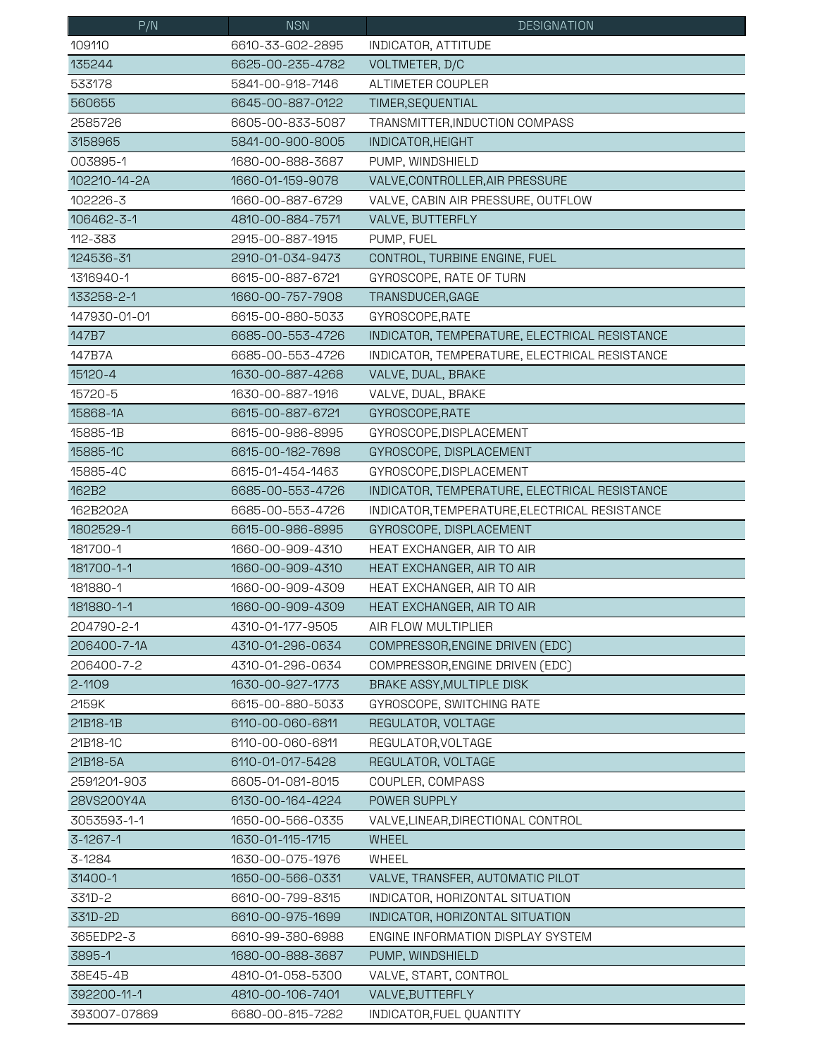| P/N          | <b>NSN</b>       | <b>DESIGNATION</b>                            |
|--------------|------------------|-----------------------------------------------|
| 109110       | 6610-33-G02-2895 | INDICATOR, ATTITUDE                           |
| 135244       | 6625-00-235-4782 | VOLTMETER, D/C                                |
| 533178       | 5841-00-918-7146 | ALTIMETER COUPLER                             |
| 560655       | 6645-00-887-0122 | TIMER, SEQUENTIAL                             |
| 2585726      | 6605-00-833-5087 | TRANSMITTER, INDUCTION COMPASS                |
| 3158965      | 5841-00-900-8005 | INDICATOR, HEIGHT                             |
| 003895-1     | 1680-00-888-3687 | PUMP, WINDSHIELD                              |
| 102210-14-2A | 1660-01-159-9078 | VALVE, CONTROLLER, AIR PRESSURE               |
| 102226-3     | 1660-00-887-6729 | VALVE, CABIN AIR PRESSURE, OUTFLOW            |
| 106462-3-1   | 4810-00-884-7571 | VALVE, BUTTERFLY                              |
| 112-383      | 2915-00-887-1915 | PUMP, FUEL                                    |
| 124536-31    | 2910-01-034-9473 | CONTROL, TURBINE ENGINE, FUEL                 |
| 1316940-1    | 6615-00-887-6721 | GYROSCOPE, RATE OF TURN                       |
| 133258-2-1   | 1660-00-757-7908 | TRANSDUCER, GAGE                              |
| 147930-01-01 | 6615-00-880-5033 | GYROSCOPE, RATE                               |
| 147B7        | 6685-00-553-4726 | INDICATOR, TEMPERATURE, ELECTRICAL RESISTANCE |
| 147B7A       | 6685-00-553-4726 | INDICATOR, TEMPERATURE, ELECTRICAL RESISTANCE |
| 15120-4      | 1630-00-887-4268 | VALVE, DUAL, BRAKE                            |
| 15720-5      | 1630-00-887-1916 | VALVE, DUAL, BRAKE                            |
| 15868-1A     | 6615-00-887-6721 | GYROSCOPE, RATE                               |
| 15885-1B     | 6615-00-986-8995 | GYROSCOPE, DISPLACEMENT                       |
| 15885-1C     | 6615-00-182-7698 | GYROSCOPE, DISPLACEMENT                       |
| 15885-4C     | 6615-01-454-1463 | GYROSCOPE, DISPLACEMENT                       |
| 162B2        | 6685-00-553-4726 | INDICATOR, TEMPERATURE, ELECTRICAL RESISTANCE |
| 162B202A     | 6685-00-553-4726 | INDICATOR, TEMPERATURE, ELECTRICAL RESISTANCE |
| 1802529-1    | 6615-00-986-8995 | GYROSCOPE, DISPLACEMENT                       |
| 181700-1     | 1660-00-909-4310 | HEAT EXCHANGER, AIR TO AIR                    |
| 181700-1-1   | 1660-00-909-4310 | HEAT EXCHANGER, AIR TO AIR                    |
| 181880-1     | 1660-00-909-4309 | HEAT EXCHANGER, AIR TO AIR                    |
| 181880-1-1   | 1660-00-909-4309 | HEAT EXCHANGER, AIR TO AIR                    |
| 204790-2-1   | 4310-01-177-9505 | AIR FLOW MULTIPLIER                           |
| 206400-7-1A  | 4310-01-296-0634 | COMPRESSOR, ENGINE DRIVEN (EDC)               |
| 206400-7-2   | 4310-01-296-0634 | COMPRESSOR, ENGINE DRIVEN (EDC)               |
| $2 - 1109$   | 1630-00-927-1773 | BRAKE ASSY, MULTIPLE DISK                     |
| 2159K        | 6615-00-880-5033 | GYROSCOPE, SWITCHING RATE                     |
| 21B18-1B     | 6110-00-060-6811 | REGULATOR, VOLTAGE                            |
| 21B18-1C     | 6110-00-060-6811 | REGULATOR, VOLTAGE                            |
| 21B18-5A     | 6110-01-017-5428 | REGULATOR, VOLTAGE                            |
| 2591201-903  | 6605-01-081-8015 | COUPLER, COMPASS                              |
| 28VS200Y4A   | 6130-00-164-4224 | POWER SUPPLY                                  |
| 3053593-1-1  | 1650-00-566-0335 | VALVE, LINEAR, DIRECTIONAL CONTROL            |
| 3-1267-1     | 1630-01-115-1715 | <b>WHEEL</b>                                  |
| 3-1284       | 1630-00-075-1976 | <b>WHEEL</b>                                  |
| 31400-1      | 1650-00-566-0331 | VALVE, TRANSFER, AUTOMATIC PILOT              |
| 331D-2       | 6610-00-799-8315 | INDICATOR, HORIZONTAL SITUATION               |
| 331D-2D      | 6610-00-975-1699 | INDICATOR, HORIZONTAL SITUATION               |
| 365EDP2-3    | 6610-99-380-6988 | ENGINE INFORMATION DISPLAY SYSTEM             |
| 3895-1       | 1680-00-888-3687 | PUMP, WINDSHIELD                              |
| 38E45-4B     | 4810-01-058-5300 | VALVE, START, CONTROL                         |
| 392200-11-1  | 4810-00-106-7401 | VALVE, BUTTERFLY                              |
| 393007-07869 | 6680-00-815-7282 | INDICATOR, FUEL QUANTITY                      |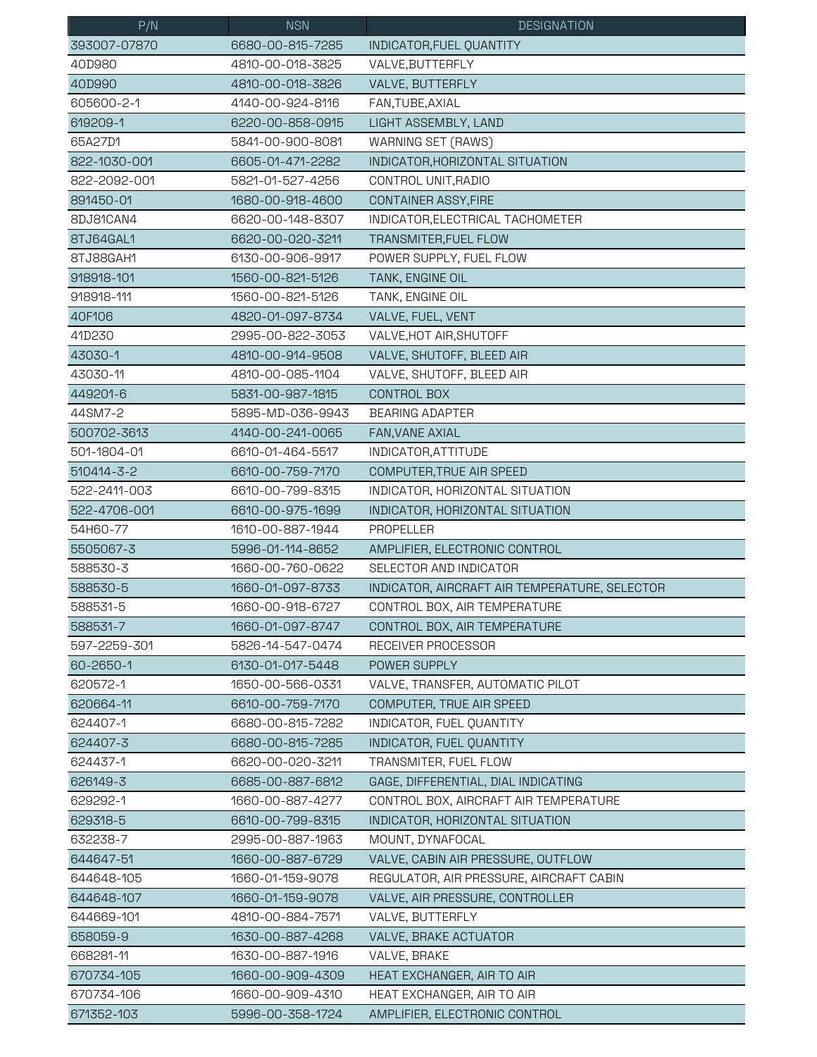| P/N          | <b>NSN</b>       | <b>DESIGNATION</b>                            |
|--------------|------------------|-----------------------------------------------|
| 393007-07870 | 6680-00-815-7285 | INDICATOR, FUEL QUANTITY                      |
| 40D980       | 4810-00-018-3825 | VALVE, BUTTERFLY                              |
| 40D990       | 4810-00-018-3826 | VALVE, BUTTERFLY                              |
| 605600-2-1   | 4140-00-924-8116 | FAN, TUBE, AXIAL                              |
| 619209-1     | 6220-00-858-0915 | LIGHT ASSEMBLY, LAND                          |
| 65A27D1      | 5841-00-900-8081 | WARNING SET (RAWS)                            |
| 822-1030-001 | 6605-01-471-2282 | INDICATOR, HORIZONTAL SITUATION               |
| 822-2092-001 | 5821-01-527-4256 | CONTROL UNIT, RADIO                           |
| 891450-01    | 1680-00-918-4600 | CONTAINER ASSY, FIRE                          |
| 8DJ81CAN4    | 6620-00-148-8307 | INDICATOR, ELECTRICAL TACHOMETER              |
| 8TJ64GAL1    | 6620-00-020-3211 | TRANSMITER, FUEL FLOW                         |
| 8TJ88GAH1    | 6130-00-906-9917 | POWER SUPPLY, FUEL FLOW                       |
| 918918-101   | 1560-00-821-5126 | TANK, ENGINE OIL                              |
| 918918-111   | 1560-00-821-5126 | TANK, ENGINE OIL                              |
| 40F106       | 4820-01-097-8734 | VALVE, FUEL, VENT                             |
| 41D230       | 2995-00-822-3053 | VALVE, HOT AIR, SHUTOFF                       |
| 43030-1      | 4810-00-914-9508 | VALVE, SHUTOFF, BLEED AIR                     |
| 43030-11     | 4810-00-085-1104 | VALVE, SHUTOFF, BLEED AIR                     |
| 449201-6     | 5831-00-987-1815 | CONTROL BOX                                   |
| 44SM7-2      | 5895-MD-036-9943 | <b>BEARING ADAPTER</b>                        |
| 500702-3613  | 4140-00-241-0065 | FAN, VANE AXIAL                               |
| 501-1804-01  | 6610-01-464-5517 | INDICATOR, ATTITUDE                           |
| 510414-3-2   | 6610-00-759-7170 | COMPUTER, TRUE AIR SPEED                      |
| 522-2411-003 | 6610-00-799-8315 | INDICATOR, HORIZONTAL SITUATION               |
| 522-4706-001 | 6610-00-975-1699 | INDICATOR, HORIZONTAL SITUATION               |
| 54H60-77     | 1610-00-887-1944 | PROPELLER                                     |
| 5505067-3    | 5996-01-114-8652 | AMPLIFIER, ELECTRONIC CONTROL                 |
| 588530-3     | 1660-00-760-0622 | SELECTOR AND INDICATOR                        |
| 588530-5     | 1660-01-097-8733 | INDICATOR, AIRCRAFT AIR TEMPERATURE, SELECTOR |
| 588531-5     | 1660-00-918-6727 | CONTROL BOX, AIR TEMPERATURE                  |
| 588531-7     | 1660-01-097-8747 | CONTROL BOX, AIR TEMPERATURE                  |
| 597-2259-301 | 5826-14-547-0474 | RECEIVER PROCESSOR                            |
| 60-2650-1    | 6130-01-017-5448 | POWER SUPPLY                                  |
| 620572-1     | 1650-00-566-0331 | VALVE, TRANSFER, AUTOMATIC PILOT              |
| 620664-11    | 6610-00-759-7170 | COMPUTER, TRUE AIR SPEED                      |
| 624407-1     | 6680-00-815-7282 | INDICATOR, FUEL QUANTITY                      |
| 624407-3     | 6680-00-815-7285 | INDICATOR, FUEL QUANTITY                      |
| 624437-1     | 6620-00-020-3211 | TRANSMITER, FUEL FLOW                         |
| 626149-3     | 6685-00-887-6812 | GAGE, DIFFERENTIAL, DIAL INDICATING           |
| 629292-1     | 1660-00-887-4277 | CONTROL BOX, AIRCRAFT AIR TEMPERATURE         |
| 629318-5     | 6610-00-799-8315 | INDICATOR, HORIZONTAL SITUATION               |
| 632238-7     | 2995-00-887-1963 | MOUNT, DYNAFOCAL                              |
| 644647-51    | 1660-00-887-6729 | VALVE, CABIN AIR PRESSURE, OUTFLOW            |
| 644648-105   | 1660-01-159-9078 | REGULATOR, AIR PRESSURE, AIRCRAFT CABIN       |
| 644648-107   | 1660-01-159-9078 | VALVE, AIR PRESSURE, CONTROLLER               |
| 644669-101   | 4810-00-884-7571 | VALVE, BUTTERFLY                              |
| 658059-9     | 1630-00-887-4268 | VALVE, BRAKE ACTUATOR                         |
| 668281-11    | 1630-00-887-1916 | VALVE, BRAKE                                  |
| 670734-105   | 1660-00-909-4309 | HEAT EXCHANGER, AIR TO AIR                    |
| 670734-106   | 1660-00-909-4310 | HEAT EXCHANGER, AIR TO AIR                    |
| 671352-103   | 5996-00-358-1724 | AMPLIFIER, ELECTRONIC CONTROL                 |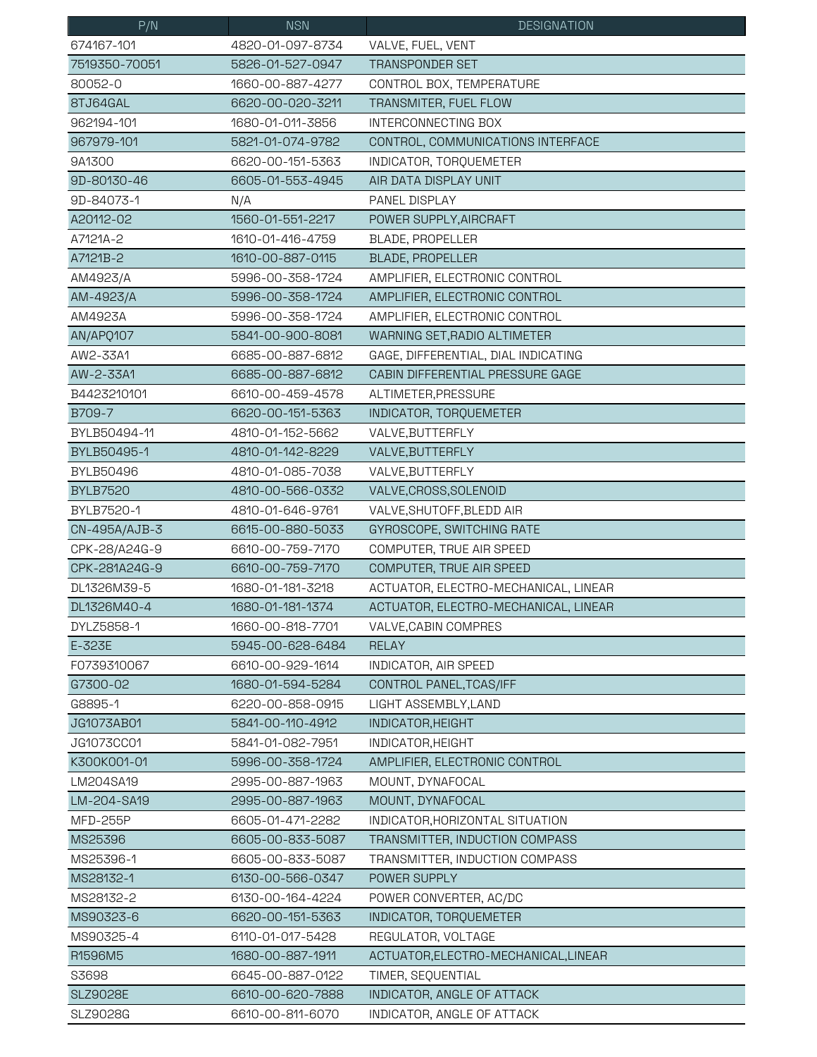| P/N              | <b>NSN</b>       | <b>DESIGNATION</b>                   |
|------------------|------------------|--------------------------------------|
| 674167-101       | 4820-01-097-8734 | VALVE, FUEL, VENT                    |
| 7519350-70051    | 5826-01-527-0947 | <b>TRANSPONDER SET</b>               |
| 80052-0          | 1660-00-887-4277 | CONTROL BOX, TEMPERATURE             |
| 8TJ64GAL         | 6620-00-020-3211 | TRANSMITER, FUEL FLOW                |
| 962194-101       | 1680-01-011-3856 | INTERCONNECTING BOX                  |
| 967979-101       | 5821-01-074-9782 | CONTROL, COMMUNICATIONS INTERFACE    |
| 9A1300           | 6620-00-151-5363 | INDICATOR, TORQUEMETER               |
| 9D-80130-46      | 6605-01-553-4945 | AIR DATA DISPLAY UNIT                |
| 9D-84073-1       | N/A              | PANEL DISPLAY                        |
| A20112-02        | 1560-01-551-2217 | POWER SUPPLY, AIRCRAFT               |
| A7121A-2         | 1610-01-416-4759 | BLADE, PROPELLER                     |
| A7121B-2         | 1610-00-887-0115 | <b>BLADE, PROPELLER</b>              |
| AM4923/A         | 5996-00-358-1724 | AMPLIFIER, ELECTRONIC CONTROL        |
| AM-4923/A        | 5996-00-358-1724 | AMPLIFIER, ELECTRONIC CONTROL        |
| AM4923A          | 5996-00-358-1724 | AMPLIFIER, ELECTRONIC CONTROL        |
| AN/APQ107        | 5841-00-900-8081 | WARNING SET, RADIO ALTIMETER         |
| AW2-33A1         | 6685-00-887-6812 | GAGE, DIFFERENTIAL, DIAL INDICATING  |
| AW-2-33A1        | 6685-00-887-6812 | CABIN DIFFERENTIAL PRESSURE GAGE     |
| B4423210101      | 6610-00-459-4578 | ALTIMETER, PRESSURE                  |
| B709-7           | 6620-00-151-5363 | INDICATOR, TORQUEMETER               |
| BYLB50494-11     | 4810-01-152-5662 | VALVE, BUTTERFLY                     |
| BYLB50495-1      | 4810-01-142-8229 | VALVE, BUTTERFLY                     |
| <b>BYLB50496</b> | 4810-01-085-7038 | VALVE, BUTTERFLY                     |
| <b>BYLB7520</b>  | 4810-00-566-0332 | VALVE, CROSS, SOLENOID               |
| BYLB7520-1       | 4810-01-646-9761 | VALVE, SHUTOFF, BLEDD AIR            |
| CN-495A/AJB-3    | 6615-00-880-5033 | GYROSCOPE, SWITCHING RATE            |
| CPK-28/A24G-9    | 6610-00-759-7170 | COMPUTER, TRUE AIR SPEED             |
| CPK-281A24G-9    | 6610-00-759-7170 | COMPUTER, TRUE AIR SPEED             |
| DL1326M39-5      | 1680-01-181-3218 | ACTUATOR, ELECTRO-MECHANICAL, LINEAR |
| DL1326M40-4      | 1680-01-181-1374 | ACTUATOR, ELECTRO-MECHANICAL, LINEAR |
| DYLZ5858-1       | 1660-00-818-7701 | VALVE, CABIN COMPRES                 |
| E-323E           | 5945-00-628-6484 | <b>RELAY</b>                         |
| F0739310067      | 6610-00-929-1614 | INDICATOR, AIR SPEED                 |
| G7300-02         | 1680-01-594-5284 | CONTROL PANEL, TCAS/IFF              |
| G8895-1          | 6220-00-858-0915 | LIGHT ASSEMBLY, LAND                 |
| JG1073AB01       | 5841-00-110-4912 | INDICATOR, HEIGHT                    |
| JG1073CC01       | 5841-01-082-7951 | INDICATOR, HEIGHT                    |
| K300K001-01      | 5996-00-358-1724 | AMPLIFIER, ELECTRONIC CONTROL        |
| LM204SA19        | 2995-00-887-1963 | MOUNT, DYNAFOCAL                     |
| LM-204-SA19      | 2995-00-887-1963 | MOUNT, DYNAFOCAL                     |
| <b>MFD-255P</b>  | 6605-01-471-2282 | INDICATOR, HORIZONTAL SITUATION      |
| MS25396          | 6605-00-833-5087 | TRANSMITTER, INDUCTION COMPASS       |
| MS25396-1        | 6605-00-833-5087 | TRANSMITTER, INDUCTION COMPASS       |
| MS28132-1        | 6130-00-566-0347 | POWER SUPPLY                         |
| MS28132-2        | 6130-00-164-4224 | POWER CONVERTER, AC/DC               |
| MS90323-6        | 6620-00-151-5363 | INDICATOR, TORQUEMETER               |
| MS90325-4        | 6110-01-017-5428 | REGULATOR, VOLTAGE                   |
| R1596M5          | 1680-00-887-1911 | ACTUATOR, ELECTRO-MECHANICAL, LINEAR |
| S3698            | 6645-00-887-0122 | TIMER, SEQUENTIAL                    |
| <b>SLZ9028E</b>  | 6610-00-620-7888 | INDICATOR, ANGLE OF ATTACK           |
| SLZ9028G         | 6610-00-811-6070 | INDICATOR, ANGLE OF ATTACK           |